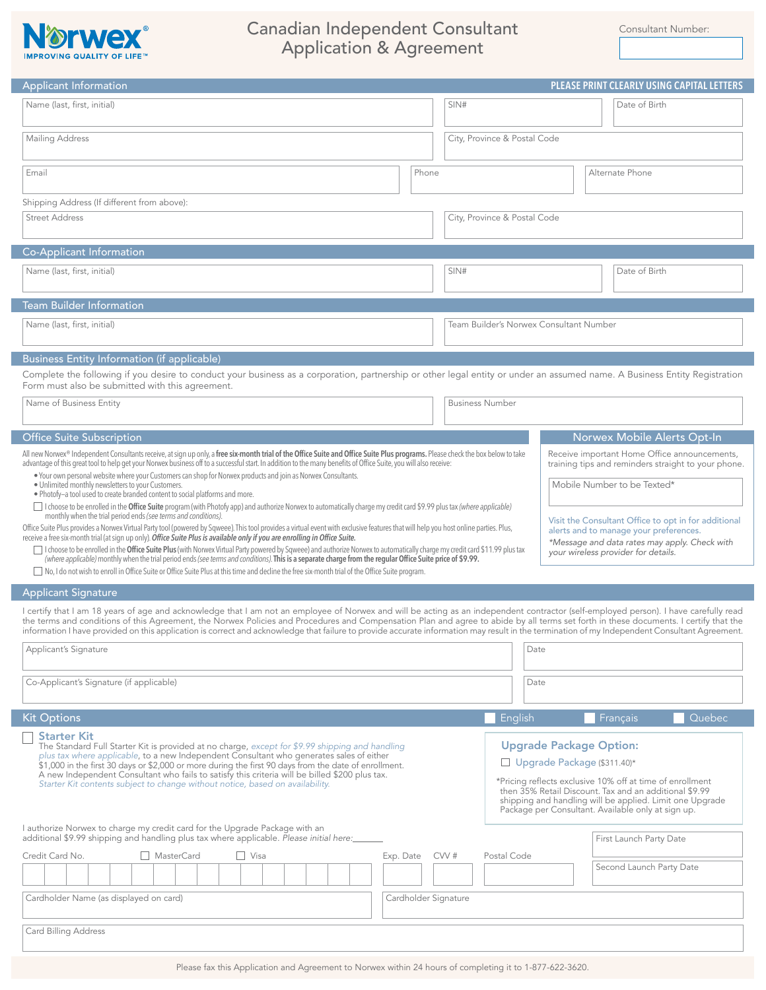

## Canadian Independent Consultant Consultant Consultant Number: Application & Agreement

Applicant Signature I certify that I am 18 years of age and acknowledge that I am not an employee of Norwex and will be acting as an independent contractor (self-employed person). I have carefully read the terms and conditions of this Agreement, the Norwex Policies and Procedures and Compensation Plan and agree to abide by all terms set forth in these documents. I certify that the information I have provided on this application is correct and acknowledge that failure to provide accurate information may result in the termination of my Independent Consultant Agreement. Date Date Applicant's Signature Co-Applicant's Signature (if applicable) Applicant Information **PLEASE PRINT CLEARLY USING CAPITAL LETTERS** Name (last, first, initial) SIN# Date of Birth Mailing Address Street Address Email City, Province & Postal Code City, Province & Postal Code Phone **Alternate Phone** Shipping Address (If different from above): Co-Applicant Information Name (last, first, initial) Date of Birth (SIN# Date of Birth (SIN# Date of Birth (SIN# Date of Birth (SIN# Date of Birth (SIN# Date of Birth (SIN# Date of Birth (SIN# Date of Birth (SIN# Date of Birth (SIN# Date of Birth Team Builder Information Name (last, first, initial) Team Builder's Norwex Consultant Number Business Entity Information (if applicable) Name of Business Entity **Business Interventional Community** Business Number Complete the following if you desire to conduct your business as a corporation, partnership or other legal entity or under an assumed name. A Business Entity Registration Form must also be submitted with this agreement. Office Suite Subscription Norwex Mobile Alerts Opt-In Visit the Consultant Office to opt in for additional alerts and to manage your preferences. *\*Message and data rates may apply. Check with your wireless provider for details.* Receive important Home Office announcements, training tips and reminders straight to your phone. Mobile Number to be Texted\* All new Norwex® Independent Consultants receive, at sign up only, a **free six-month trial of the Office Suite and Office Suite Plus programs.** Please check the box below to take advantage of this great tool to help get your Norwex business off to a successful start. In addition to the many benefits of Office Suite, you will also receive: • Your own personal website where your Customers can shop for Norwex products and join as Norwex Consultants. • Unlimited monthly newsletters to your Customers. • Photofy—a tool used to create branded content to social platforms and more. I choose to be enrolled in the **Office Suite** program (with Photofy app) and authorize Norwex to automatically charge my credit card \$9.99 plus tax *(where applicable)* monthly when the trial period ends *(see terms and conditions)*. Office Suite Plus provides a Norwex Virtual Party tool (powered by Sqweee). This tool provides a virtual event with exclusive features that will help you host online parties. Plus, receive a free six-month trial (at sign up only). *Office Suite Plus is available only if you are enrolling in Office Suite.* I choose to be enrolled in the **Office Suite Plus** (with Norwex Virtual Party powered by Sqweee) and authorize Norwex to automatically charge my credit card \$11.99 plus tax *(where applicable)* monthly when the trial period ends *(see terms and conditions)*. **This is a separate charge from the regular Office Suite price of \$9.99.** No, I do not wish to enroll in Office Suite or Office Suite Plus at this time and decline the free six-month trial of the Office Suite program.

Kit Options English Français Communication of the Communication of the English English English Français Cuebec

Starter Kit The Standard Full Starter Kit is provided at no charge, *except for \$9.99 shipping and handling plus tax where applicable*, to a new Independent Consultant who generates sales of either \$1,000 in the first 30 days or \$2,000 or more during the first 90 days from the date of enrollment. A new Independent Consultant who fails to satisfy this criteria will be billed \$200 plus tax. *Starter Kit contents subject to change without notice, based on availability.*

## Upgrade Package Option:

Upgrade Package (\$311.40)\*

\*Pricing reflects exclusive 10% off at time of enrollment then 35% Retail Discount. Tax and an additional \$9.99 shipping and handling will be applied. Limit one Upgrade Package per Consultant. Available only at sign up.

| I authorize Norwex to charge my credit card for the Upgrade Package with an<br>additional \$9.99 shipping and handling plus tax where applicable. Please initial here: |                      |                                            |             | First Launch Party Date  |
|------------------------------------------------------------------------------------------------------------------------------------------------------------------------|----------------------|--------------------------------------------|-------------|--------------------------|
| Credit Card No.<br>Cardholder Name (as displayed on card)                                                                                                              | MasterCard<br>□ Visa | CVV #<br>Exp. Date<br>Cardholder Signature | Postal Code | Second Launch Party Date |
| Card Billing Address                                                                                                                                                   |                      |                                            |             |                          |